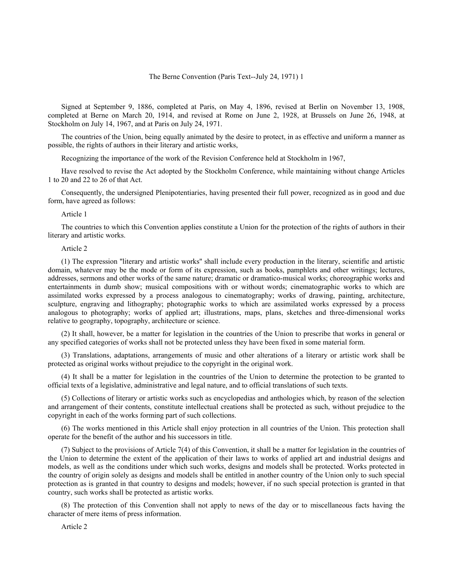# The Berne Convention (Paris Text--July 24, 1971) 1

Signed at September 9, 1886, completed at Paris, on May 4, 1896, revised at Berlin on November 13, 1908, completed at Berne on March 20, 1914, and revised at Rome on June 2, 1928, at Brussels on June 26, 1948, at Stockholm on July 14, 1967, and at Paris on July 24, 1971.

The countries of the Union, being equally animated by the desire to protect, in as effective and uniform a manner as possible, the rights of authors in their literary and artistic works,

Recognizing the importance of the work of the Revision Conference held at Stockholm in 1967,

Have resolved to revise the Act adopted by the Stockholm Conference, while maintaining without change Articles 1 to 20 and 22 to 26 of that Act.

Consequently, the undersigned Plenipotentiaries, having presented their full power, recognized as in good and due form, have agreed as follows:

### Article 1

The countries to which this Convention applies constitute a Union for the protection of the rights of authors in their literary and artistic works.

## Article 2

(1) The expression ''literary and artistic works'' shall include every production in the literary, scientific and artistic domain, whatever may be the mode or form of its expression, such as books, pamphlets and other writings; lectures, addresses, sermons and other works of the same nature; dramatic or dramatico-musical works; choreographic works and entertainments in dumb show; musical compositions with or without words; cinematographic works to which are assimilated works expressed by a process analogous to cinematography; works of drawing, painting, architecture, sculpture, engraving and lithography; photographic works to which are assimilated works expressed by a process analogous to photography; works of applied art; illustrations, maps, plans, sketches and three-dimensional works relative to geography, topography, architecture or science.

(2) It shall, however, be a matter for legislation in the countries of the Union to prescribe that works in general or any specified categories of works shall not be protected unless they have been fixed in some material form.

(3) Translations, adaptations, arrangements of music and other alterations of a literary or artistic work shall be protected as original works without prejudice to the copyright in the original work.

(4) It shall be a matter for legislation in the countries of the Union to determine the protection to be granted to official texts of a legislative, administrative and legal nature, and to official translations of such texts.

(5) Collections of literary or artistic works such as encyclopedias and anthologies which, by reason of the selection and arrangement of their contents, constitute intellectual creations shall be protected as such, without prejudice to the copyright in each of the works forming part of such collections.

(6) The works mentioned in this Article shall enjoy protection in all countries of the Union. This protection shall operate for the benefit of the author and his successors in title.

(7) Subject to the provisions of Article 7(4) of this Convention, it shall be a matter for legislation in the countries of the Union to determine the extent of the application of their laws to works of applied art and industrial designs and models, as well as the conditions under which such works, designs and models shall be protected. Works protected in the country of origin solely as designs and models shall be entitled in another country of the Union only to such special protection as is granted in that country to designs and models; however, if no such special protection is granted in that country, such works shall be protected as artistic works.

(8) The protection of this Convention shall not apply to news of the day or to miscellaneous facts having the character of mere items of press information.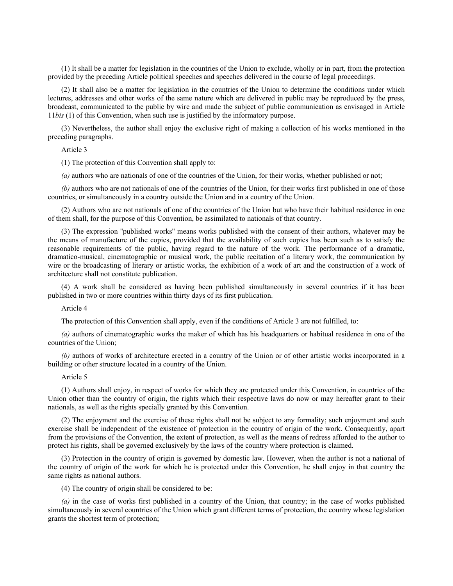(1) It shall be a matter for legislation in the countries of the Union to exclude, wholly or in part, from the protection provided by the preceding Article political speeches and speeches delivered in the course of legal proceedings.

(2) It shall also be a matter for legislation in the countries of the Union to determine the conditions under which lectures, addresses and other works of the same nature which are delivered in public may be reproduced by the press, broadcast, communicated to the public by wire and made the subject of public communication as envisaged in Article 11*bis* (1) of this Convention, when such use is justified by the informatory purpose.

(3) Nevertheless, the author shall enjoy the exclusive right of making a collection of his works mentioned in the preceding paragraphs.

Article 3

(1) The protection of this Convention shall apply to:

*(a)* authors who are nationals of one of the countries of the Union, for their works, whether published or not;

*(b)* authors who are not nationals of one of the countries of the Union, for their works first published in one of those countries, or simultaneously in a country outside the Union and in a country of the Union.

(2) Authors who are not nationals of one of the countries of the Union but who have their habitual residence in one of them shall, for the purpose of this Convention, be assimilated to nationals of that country.

(3) The expression ''published works'' means works published with the consent of their authors, whatever may be the means of manufacture of the copies, provided that the availability of such copies has been such as to satisfy the reasonable requirements of the public, having regard to the nature of the work. The performance of a dramatic, dramatico-musical, cinematographic or musical work, the public recitation of a literary work, the communication by wire or the broadcasting of literary or artistic works, the exhibition of a work of art and the construction of a work of architecture shall not constitute publication.

(4) A work shall be considered as having been published simultaneously in several countries if it has been published in two or more countries within thirty days of its first publication.

Article 4

The protection of this Convention shall apply, even if the conditions of Article 3 are not fulfilled, to:

*(a)* authors of cinematographic works the maker of which has his headquarters or habitual residence in one of the countries of the Union;

*(b)* authors of works of architecture erected in a country of the Union or of other artistic works incorporated in a building or other structure located in a country of the Union.

## Article 5

(1) Authors shall enjoy, in respect of works for which they are protected under this Convention, in countries of the Union other than the country of origin, the rights which their respective laws do now or may hereafter grant to their nationals, as well as the rights specially granted by this Convention.

(2) The enjoyment and the exercise of these rights shall not be subject to any formality; such enjoyment and such exercise shall be independent of the existence of protection in the country of origin of the work. Consequently, apart from the provisions of the Convention, the extent of protection, as well as the means of redress afforded to the author to protect his rights, shall be governed exclusively by the laws of the country where protection is claimed.

(3) Protection in the country of origin is governed by domestic law. However, when the author is not a national of the country of origin of the work for which he is protected under this Convention, he shall enjoy in that country the same rights as national authors.

(4) The country of origin shall be considered to be:

*(a)* in the case of works first published in a country of the Union, that country; in the case of works published simultaneously in several countries of the Union which grant different terms of protection, the country whose legislation grants the shortest term of protection;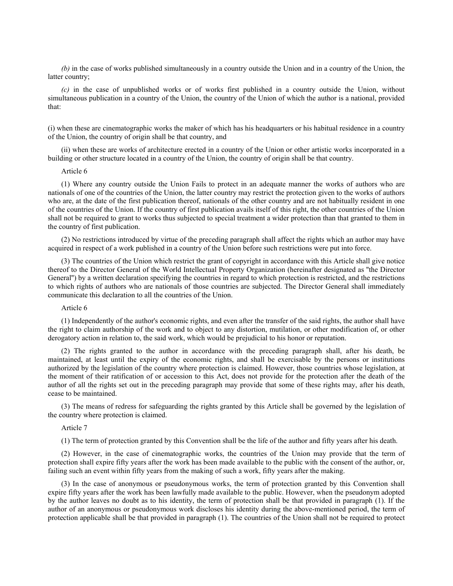*(b)* in the case of works published simultaneously in a country outside the Union and in a country of the Union, the latter country;

*(c)* in the case of unpublished works or of works first published in a country outside the Union, without simultaneous publication in a country of the Union, the country of the Union of which the author is a national, provided that:

(i) when these are cinematographic works the maker of which has his headquarters or his habitual residence in a country of the Union, the country of origin shall be that country, and

(ii) when these are works of architecture erected in a country of the Union or other artistic works incorporated in a building or other structure located in a country of the Union, the country of origin shall be that country.

#### Article 6

(1) Where any country outside the Union Fails to protect in an adequate manner the works of authors who are nationals of one of the countries of the Union, the latter country may restrict the protection given to the works of authors who are, at the date of the first publication thereof, nationals of the other country and are not habitually resident in one of the countries of the Union. If the country of first publication avails itself of this right, the other countries of the Union shall not be required to grant to works thus subjected to special treatment a wider protection than that granted to them in the country of first publication.

(2) No restrictions introduced by virtue of the preceding paragraph shall affect the rights which an author may have acquired in respect of a work published in a country of the Union before such restrictions were put into force.

(3) The countries of the Union which restrict the grant of copyright in accordance with this Article shall give notice thereof to the Director General of the World Intellectual Property Organization (hereinafter designated as ''the Director General'') by a written declaration specifying the countries in regard to which protection is restricted, and the restrictions to which rights of authors who are nationals of those countries are subjected. The Director General shall immediately communicate this declaration to all the countries of the Union.

#### Article 6

(1) Independently of the author's economic rights, and even after the transfer of the said rights, the author shall have the right to claim authorship of the work and to object to any distortion, mutilation, or other modification of, or other derogatory action in relation to, the said work, which would be prejudicial to his honor or reputation.

(2) The rights granted to the author in accordance with the preceding paragraph shall, after his death, be maintained, at least until the expiry of the economic rights, and shall be exercisable by the persons or institutions authorized by the legislation of the country where protection is claimed. However, those countries whose legislation, at the moment of their ratification of or accession to this Act, does not provide for the protection after the death of the author of all the rights set out in the preceding paragraph may provide that some of these rights may, after his death, cease to be maintained.

(3) The means of redress for safeguarding the rights granted by this Article shall be governed by the legislation of the country where protection is claimed.

### Article 7

(1) The term of protection granted by this Convention shall be the life of the author and fifty years after his death.

(2) However, in the case of cinematographic works, the countries of the Union may provide that the term of protection shall expire fifty years after the work has been made available to the public with the consent of the author, or, failing such an event within fifty years from the making of such a work, fifty years after the making.

(3) In the case of anonymous or pseudonymous works, the term of protection granted by this Convention shall expire fifty years after the work has been lawfully made available to the public. However, when the pseudonym adopted by the author leaves no doubt as to his identity, the term of protection shall be that provided in paragraph (1). If the author of an anonymous or pseudonymous work discloses his identity during the above-mentioned period, the term of protection applicable shall be that provided in paragraph (1). The countries of the Union shall not be required to protect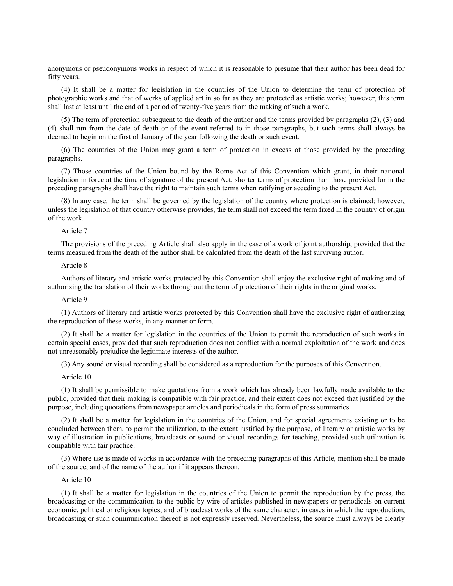anonymous or pseudonymous works in respect of which it is reasonable to presume that their author has been dead for fifty years.

(4) It shall be a matter for legislation in the countries of the Union to determine the term of protection of photographic works and that of works of applied art in so far as they are protected as artistic works; however, this term shall last at least until the end of a period of twenty-five years from the making of such a work.

(5) The term of protection subsequent to the death of the author and the terms provided by paragraphs (2), (3) and (4) shall run from the date of death or of the event referred to in those paragraphs, but such terms shall always be deemed to begin on the first of January of the year following the death or such event.

(6) The countries of the Union may grant a term of protection in excess of those provided by the preceding paragraphs.

(7) Those countries of the Union bound by the Rome Act of this Convention which grant, in their national legislation in force at the time of signature of the present Act, shorter terms of protection than those provided for in the preceding paragraphs shall have the right to maintain such terms when ratifying or acceding to the present Act.

(8) In any case, the term shall be governed by the legislation of the country where protection is claimed; however, unless the legislation of that country otherwise provides, the term shall not exceed the term fixed in the country of origin of the work.

# Article 7

The provisions of the preceding Article shall also apply in the case of a work of joint authorship, provided that the terms measured from the death of the author shall be calculated from the death of the last surviving author.

#### Article 8

Authors of literary and artistic works protected by this Convention shall enjoy the exclusive right of making and of authorizing the translation of their works throughout the term of protection of their rights in the original works.

#### Article 9

(1) Authors of literary and artistic works protected by this Convention shall have the exclusive right of authorizing the reproduction of these works, in any manner or form.

(2) It shall be a matter for legislation in the countries of the Union to permit the reproduction of such works in certain special cases, provided that such reproduction does not conflict with a normal exploitation of the work and does not unreasonably prejudice the legitimate interests of the author.

(3) Any sound or visual recording shall be considered as a reproduction for the purposes of this Convention.

# Article 10

(1) It shall be permissible to make quotations from a work which has already been lawfully made available to the public, provided that their making is compatible with fair practice, and their extent does not exceed that justified by the purpose, including quotations from newspaper articles and periodicals in the form of press summaries.

(2) It shall be a matter for legislation in the countries of the Union, and for special agreements existing or to be concluded between them, to permit the utilization, to the extent justified by the purpose, of literary or artistic works by way of illustration in publications, broadcasts or sound or visual recordings for teaching, provided such utilization is compatible with fair practice.

(3) Where use is made of works in accordance with the preceding paragraphs of this Article, mention shall be made of the source, and of the name of the author if it appears thereon.

#### Article 10

(1) It shall be a matter for legislation in the countries of the Union to permit the reproduction by the press, the broadcasting or the communication to the public by wire of articles published in newspapers or periodicals on current economic, political or religious topics, and of broadcast works of the same character, in cases in which the reproduction, broadcasting or such communication thereof is not expressly reserved. Nevertheless, the source must always be clearly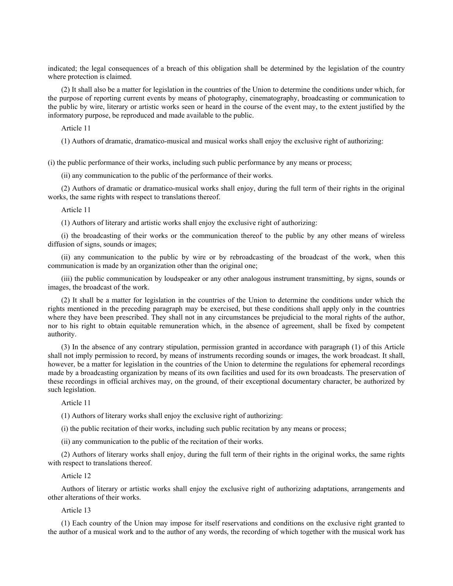indicated; the legal consequences of a breach of this obligation shall be determined by the legislation of the country where protection is claimed.

(2) It shall also be a matter for legislation in the countries of the Union to determine the conditions under which, for the purpose of reporting current events by means of photography, cinematography, broadcasting or communication to the public by wire, literary or artistic works seen or heard in the course of the event may, to the extent justified by the informatory purpose, be reproduced and made available to the public.

Article 11

(1) Authors of dramatic, dramatico-musical and musical works shall enjoy the exclusive right of authorizing:

(i) the public performance of their works, including such public performance by any means or process;

(ii) any communication to the public of the performance of their works.

(2) Authors of dramatic or dramatico-musical works shall enjoy, during the full term of their rights in the original works, the same rights with respect to translations thereof.

Article 11

(1) Authors of literary and artistic works shall enjoy the exclusive right of authorizing:

(i) the broadcasting of their works or the communication thereof to the public by any other means of wireless diffusion of signs, sounds or images;

(ii) any communication to the public by wire or by rebroadcasting of the broadcast of the work, when this communication is made by an organization other than the original one;

(iii) the public communication by loudspeaker or any other analogous instrument transmitting, by signs, sounds or images, the broadcast of the work.

(2) It shall be a matter for legislation in the countries of the Union to determine the conditions under which the rights mentioned in the preceding paragraph may be exercised, but these conditions shall apply only in the countries where they have been prescribed. They shall not in any circumstances be prejudicial to the moral rights of the author, nor to his right to obtain equitable remuneration which, in the absence of agreement, shall be fixed by competent authority.

(3) In the absence of any contrary stipulation, permission granted in accordance with paragraph (1) of this Article shall not imply permission to record, by means of instruments recording sounds or images, the work broadcast. It shall, however, be a matter for legislation in the countries of the Union to determine the regulations for ephemeral recordings made by a broadcasting organization by means of its own facilities and used for its own broadcasts. The preservation of these recordings in official archives may, on the ground, of their exceptional documentary character, be authorized by such legislation.

Article 11

(1) Authors of literary works shall enjoy the exclusive right of authorizing:

(i) the public recitation of their works, including such public recitation by any means or process;

(ii) any communication to the public of the recitation of their works.

(2) Authors of literary works shall enjoy, during the full term of their rights in the original works, the same rights with respect to translations thereof.

#### Article 12

Authors of literary or artistic works shall enjoy the exclusive right of authorizing adaptations, arrangements and other alterations of their works.

### Article 13

(1) Each country of the Union may impose for itself reservations and conditions on the exclusive right granted to the author of a musical work and to the author of any words, the recording of which together with the musical work has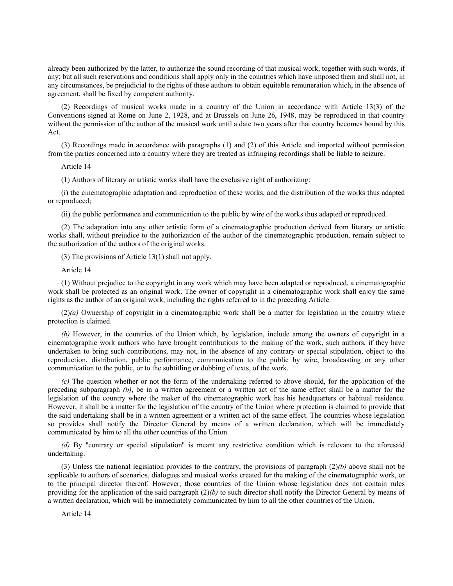already been authorized by the latter, to authorize the sound recording of that musical work, together with such words, if any; but all such reservations and conditions shall apply only in the countries which have imposed them and shall not, in any circumstances, be prejudicial to the rights of these authors to obtain equitable remuneration which, in the absence of agreement, shall be fixed by competent authority.

(2) Recordings of musical works made in a country of the Union in accordance with Article 13(3) of the Conventions signed at Rome on June 2, 1928, and at Brussels on June 26, 1948, may be reproduced in that country without the permission of the author of the musical work until a date two years after that country becomes bound by this Act.

(3) Recordings made in accordance with paragraphs (1) and (2) of this Article and imported without permission from the parties concerned into a country where they are treated as infringing recordings shall be liable to seizure.

Article 14

(1) Authors of literary or artistic works shall have the exclusive right of authorizing:

(i) the cinematographic adaptation and reproduction of these works, and the distribution of the works thus adapted or reproduced;

(ii) the public performance and communication to the public by wire of the works thus adapted or reproduced.

(2) The adaptation into any other artistic form of a cinematographic production derived from literary or artistic works shall, without prejudice to the authorization of the author of the cinematographic production, remain subject to the authorization of the authors of the original works.

(3) The provisions of Article 13(1) shall not apply.

Article 14

(1) Without prejudice to the copyright in any work which may have been adapted or reproduced, a cinematographic work shall be protected as an original work. The owner of copyright in a cinematographic work shall enjoy the same rights as the author of an original work, including the rights referred to in the preceding Article.

(2)*(a)* Ownership of copyright in a cinematographic work shall be a matter for legislation in the country where protection is claimed.

*(b)* However, in the countries of the Union which, by legislation, include among the owners of copyright in a cinematographic work authors who have brought contributions to the making of the work, such authors, if they have undertaken to bring such contributions, may not, in the absence of any contrary or special stipulation, object to the reproduction, distribution, public performance, communication to the public by wire, broadcasting or any other communication to the public, or to the subtitling or dubbing of texts, of the work.

*(c)* The question whether or not the form of the undertaking referred to above should, for the application of the preceding subparagraph *(b)*, be in a written agreement or a written act of the same effect shall be a matter for the legislation of the country where the maker of the cinematographic work has his headquarters or habitual residence. However, it shall be a matter for the legislation of the country of the Union where protection is claimed to provide that the said undertaking shall be in a written agreement or a written act of the same effect. The countries whose legislation so provides shall notify the Director General by means of a written declaration, which will be immediately communicated by him to all the other countries of the Union.

*(d)* By ''contrary or special stipulation'' is meant any restrictive condition which is relevant to the aforesaid undertaking.

(3) Unless the national legislation provides to the contrary, the provisions of paragraph (2)*(b)* above shall not be applicable to authors of scenarios, dialogues and musical works created for the making of the cinematographic work, or to the principal director thereof. However, those countries of the Union whose legislation does not contain rules providing for the application of the said paragraph (2)*(b)* to such director shall notify the Director General by means of a written declaration, which will be immediately communicated by him to all the other countries of the Union.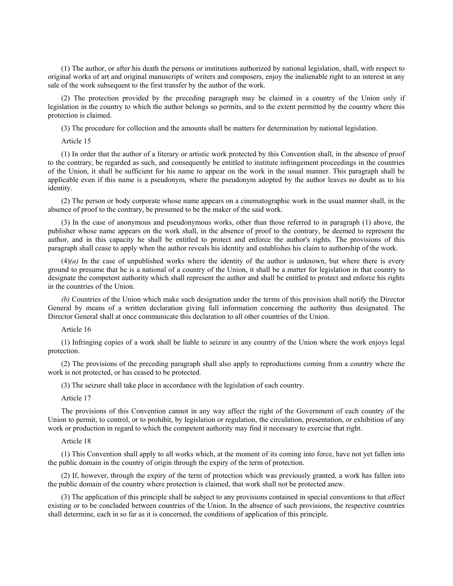(1) The author, or after his death the persons or institutions authorized by national legislation, shall, with respect to original works of art and original manuscripts of writers and composers, enjoy the inalienable right to an interest in any sale of the work subsequent to the first transfer by the author of the work.

(2) The protection provided by the preceding paragraph may be claimed in a country of the Union only if legislation in the country to which the author belongs so permits, and to the extent permitted by the country where this protection is claimed.

(3) The procedure for collection and the amounts shall be matters for determination by national legislation.

Article 15

(1) In order that the author of a literary or artistic work protected by this Convention shall, in the absence of proof to the contrary, be regarded as such, and consequently be entitled to institute infringement proceedings in the countries of the Union, it shall be sufficient for his name to appear on the work in the usual manner. This paragraph shall be applicable even if this name is a pseudonym, where the pseudonym adopted by the author leaves no doubt as to his identity.

(2) The person or body corporate whose name appears on a cinematographic work in the usual manner shall, in the absence of proof to the contrary, be presumed to be the maker of the said work.

(3) In the case of anonymous and pseudonymous works, other than those referred to in paragraph (1) above, the publisher whose name appears on the work shall, in the absence of proof to the contrary, be deemed to represent the author, and in this capacity he shall be entitled to protect and enforce the author's rights. The provisions of this paragraph shall cease to apply when the author reveals his identity and establishes his claim to authorship of the work.

 $(4)(a)$  In the case of unpublished works where the identity of the author is unknown, but where there is every ground to presume that he is a national of a country of the Union, it shall be a matter for legislation in that country to designate the competent authority which shall represent the author and shall be entitled to protect and enforce his rights in the countries of the Union.

*(b)* Countries of the Union which make such designation under the terms of this provision shall notify the Director General by means of a written declaration giving full information concerning the authority thus designated. The Director General shall at once communicate this declaration to all other countries of the Union.

Article 16

(1) Infringing copies of a work shall be liable to seizure in any country of the Union where the work enjoys legal protection.

(2) The provisions of the preceding paragraph shall also apply to reproductions coming from a country where the work is not protected, or has ceased to be protected.

(3) The seizure shall take place in accordance with the legislation of each country.

#### Article 17

The provisions of this Convention cannot in any way affect the right of the Government of each country of the Union to permit, to control, or to prohibit, by legislation or regulation, the circulation, presentation, or exhibition of any work or production in regard to which the competent authority may find it necessary to exercise that right.

# Article 18

(1) This Convention shall apply to all works which, at the moment of its coming into force, have not yet fallen into the public domain in the country of origin through the expiry of the term of protection.

(2) If, however, through the expiry of the term of protection which was previously granted, a work has fallen into the public domain of the country where protection is claimed, that work shall not be protected anew.

(3) The application of this principle shall be subject to any provisions contained in special conventions to that effect existing or to be concluded between countries of the Union. In the absence of such provisions, the respective countries shall determine, each in so far as it is concerned, the conditions of application of this principle.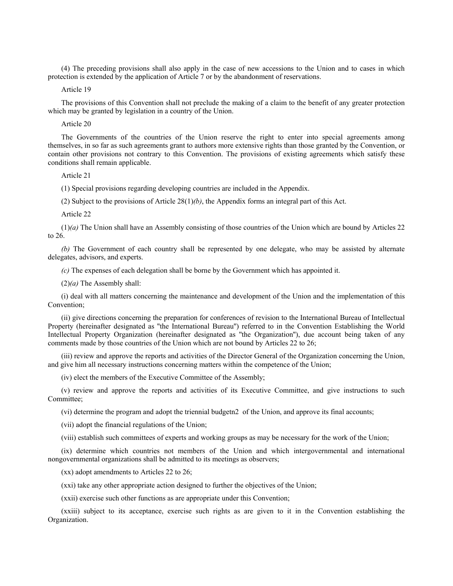(4) The preceding provisions shall also apply in the case of new accessions to the Union and to cases in which protection is extended by the application of Article 7 or by the abandonment of reservations.

# Article 19

The provisions of this Convention shall not preclude the making of a claim to the benefit of any greater protection which may be granted by legislation in a country of the Union.

### Article 20

The Governments of the countries of the Union reserve the right to enter into special agreements among themselves, in so far as such agreements grant to authors more extensive rights than those granted by the Convention, or contain other provisions not contrary to this Convention. The provisions of existing agreements which satisfy these conditions shall remain applicable.

#### Article 21

(1) Special provisions regarding developing countries are included in the Appendix.

(2) Subject to the provisions of Article 28(1)*(b)*, the Appendix forms an integral part of this Act.

#### Article 22

(1)*(a)* The Union shall have an Assembly consisting of those countries of the Union which are bound by Articles 22 to 26.

*(b)* The Government of each country shall be represented by one delegate, who may be assisted by alternate delegates, advisors, and experts.

*(c)* The expenses of each delegation shall be borne by the Government which has appointed it.

(2)*(a)* The Assembly shall:

(i) deal with all matters concerning the maintenance and development of the Union and the implementation of this Convention;

(ii) give directions concerning the preparation for conferences of revision to the International Bureau of Intellectual Property (hereinafter designated as ''the International Bureau'') referred to in the Convention Establishing the World Intellectual Property Organization (hereinafter designated as ''the Organization''), due account being taken of any comments made by those countries of the Union which are not bound by Articles 22 to 26;

(iii) review and approve the reports and activities of the Director General of the Organization concerning the Union, and give him all necessary instructions concerning matters within the competence of the Union;

(iv) elect the members of the Executive Committee of the Assembly;

(v) review and approve the reports and activities of its Executive Committee, and give instructions to such Committee;

(vi) determine the program and adopt the triennial budgetn2 of the Union, and approve its final accounts;

(vii) adopt the financial regulations of the Union;

(viii) establish such committees of experts and working groups as may be necessary for the work of the Union;

(ix) determine which countries not members of the Union and which intergovernmental and international nongovernmental organizations shall be admitted to its meetings as observers;

(xx) adopt amendments to Articles 22 to 26;

(xxi) take any other appropriate action designed to further the objectives of the Union;

(xxii) exercise such other functions as are appropriate under this Convention;

(xxiii) subject to its acceptance, exercise such rights as are given to it in the Convention establishing the Organization.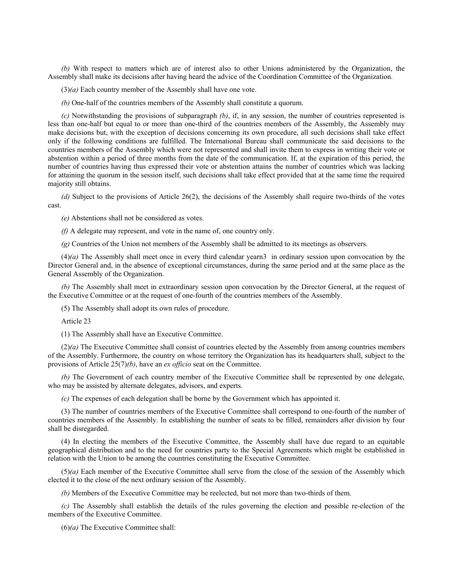*(b)* With respect to matters which are of interest also to other Unions administered by the Organization, the Assembly shall make its decisions after having heard the advice of the Coordination Committee of the Organization.

(3)*(a)* Each country member of the Assembly shall have one vote.

*(b)* One-half of the countries members of the Assembly shall constitute a quorum.

*(c)* Notwithstanding the provisions of subparagraph *(b)*, if, in any session, the number of countries represented is less than one-half but equal to or more than one-third of the countries members of the Assembly, the Assembly may make decisions but, with the exception of decisions concerning its own procedure, all such decisions shall take effect only if the following conditions are fulfilled. The International Bureau shall communicate the said decisions to the countries members of the Assembly which were not represented and shall invite them to express in writing their vote or abstention within a period of three months from the date of the communication. If, at the expiration of this period, the number of countries having thus expressed their vote or abstention attains the number of countries which was lacking for attaining the quorum in the session itself, such decisions shall take effect provided that at the same time the required majority still obtains.

*(d)* Subject to the provisions of Article 26(2), the decisions of the Assembly shall require two-thirds of the votes cast.

*(e)* Abstentions shall not be considered as votes.

*(f)* A delegate may represent, and vote in the name of, one country only.

*(g)* Countries of the Union not members of the Assembly shall be admitted to its meetings as observers.

(4)*(a)* The Assembly shall meet once in every third calendar yearn3 in ordinary session upon convocation by the Director General and, in the absence of exceptional circumstances, during the same period and at the same place as the General Assembly of the Organization.

*(b)* The Assembly shall meet in extraordinary session upon convocation by the Director General, at the request of the Executive Committee or at the request of one-fourth of the countries members of the Assembly.

(5) The Assembly shall adopt its own rules of procedure.

Article 23

(1) The Assembly shall have an Executive Committee.

(2)*(a)* The Executive Committee shall consist of countries elected by the Assembly from among countries members of the Assembly. Furthermore, the country on whose territory the Organization has its headquarters shall, subject to the provisions of Article 25(7)*(b)*, have an *ex officio* seat on the Committee.

*(b)* The Government of each country member of the Executive Committee shall be represented by one delegate, who may be assisted by alternate delegates, advisors, and experts.

*(c)* The expenses of each delegation shall be borne by the Government which has appointed it.

(3) The number of countries members of the Executive Committee shall correspond to one-fourth of the number of countries members of the Assembly. In establishing the number of seats to be filled, remainders after division by four shall be disregarded.

(4) In electing the members of the Executive Committee, the Assembly shall have due regard to an equitable geographical distribution and to the need for countries party to the Special Agreements which might be established in relation with the Union to be among the countries constituting the Executive Committee.

(5)*(a)* Each member of the Executive Committee shall serve from the close of the session of the Assembly which elected it to the close of the next ordinary session of the Assembly.

*(b)* Members of the Executive Committee may be reelected, but not more than two-thirds of them.

*(c)* The Assembly shall establish the details of the rules governing the election and possible re-election of the members of the Executive Committee.

(6)*(a)* The Executive Committee shall: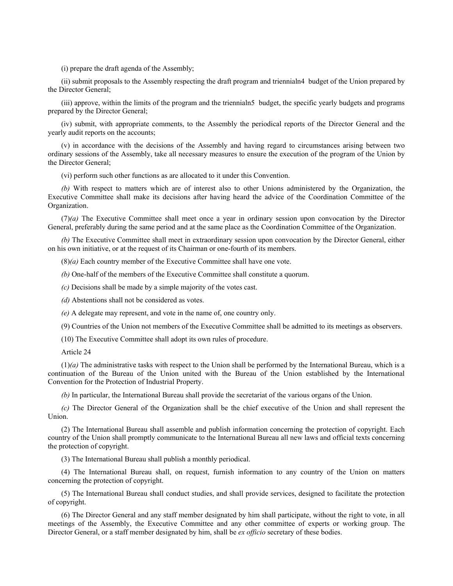(i) prepare the draft agenda of the Assembly;

(ii) submit proposals to the Assembly respecting the draft program and triennialn4 budget of the Union prepared by the Director General;

(iii) approve, within the limits of the program and the triennialn5 budget, the specific yearly budgets and programs prepared by the Director General;

(iv) submit, with appropriate comments, to the Assembly the periodical reports of the Director General and the yearly audit reports on the accounts;

(v) in accordance with the decisions of the Assembly and having regard to circumstances arising between two ordinary sessions of the Assembly, take all necessary measures to ensure the execution of the program of the Union by the Director General;

(vi) perform such other functions as are allocated to it under this Convention.

*(b)* With respect to matters which are of interest also to other Unions administered by the Organization, the Executive Committee shall make its decisions after having heard the advice of the Coordination Committee of the Organization.

(7)*(a)* The Executive Committee shall meet once a year in ordinary session upon convocation by the Director General, preferably during the same period and at the same place as the Coordination Committee of the Organization.

*(b)* The Executive Committee shall meet in extraordinary session upon convocation by the Director General, either on his own initiative, or at the request of its Chairman or one-fourth of its members.

(8)*(a)* Each country member of the Executive Committee shall have one vote.

*(b)* One-half of the members of the Executive Committee shall constitute a quorum.

*(c)* Decisions shall be made by a simple majority of the votes cast.

*(d)* Abstentions shall not be considered as votes.

*(e)* A delegate may represent, and vote in the name of, one country only.

(9) Countries of the Union not members of the Executive Committee shall be admitted to its meetings as observers.

(10) The Executive Committee shall adopt its own rules of procedure.

Article 24

 $(1)(a)$  The administrative tasks with respect to the Union shall be performed by the International Bureau, which is a continuation of the Bureau of the Union united with the Bureau of the Union established by the International Convention for the Protection of Industrial Property.

*(b)* In particular, the International Bureau shall provide the secretariat of the various organs of the Union.

*(c)* The Director General of the Organization shall be the chief executive of the Union and shall represent the Union.

(2) The International Bureau shall assemble and publish information concerning the protection of copyright. Each country of the Union shall promptly communicate to the International Bureau all new laws and official texts concerning the protection of copyright.

(3) The International Bureau shall publish a monthly periodical.

(4) The International Bureau shall, on request, furnish information to any country of the Union on matters concerning the protection of copyright.

(5) The International Bureau shall conduct studies, and shall provide services, designed to facilitate the protection of copyright.

(6) The Director General and any staff member designated by him shall participate, without the right to vote, in all meetings of the Assembly, the Executive Committee and any other committee of experts or working group. The Director General, or a staff member designated by him, shall be *ex officio* secretary of these bodies.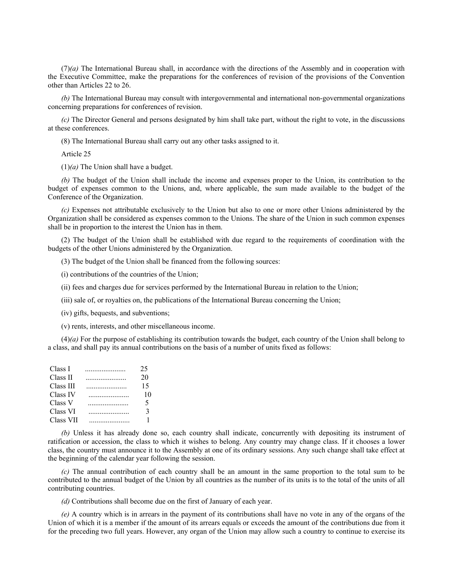(7)*(a)* The International Bureau shall, in accordance with the directions of the Assembly and in cooperation with the Executive Committee, make the preparations for the conferences of revision of the provisions of the Convention other than Articles 22 to 26.

*(b)* The International Bureau may consult with intergovernmental and international non-governmental organizations concerning preparations for conferences of revision.

*(c)* The Director General and persons designated by him shall take part, without the right to vote, in the discussions at these conferences.

(8) The International Bureau shall carry out any other tasks assigned to it.

Article 25

(1)*(a)* The Union shall have a budget.

*(b)* The budget of the Union shall include the income and expenses proper to the Union, its contribution to the budget of expenses common to the Unions, and, where applicable, the sum made available to the budget of the Conference of the Organization.

*(c)* Expenses not attributable exclusively to the Union but also to one or more other Unions administered by the Organization shall be considered as expenses common to the Unions. The share of the Union in such common expenses shall be in proportion to the interest the Union has in them.

(2) The budget of the Union shall be established with due regard to the requirements of coordination with the budgets of the other Unions administered by the Organization.

(3) The budget of the Union shall be financed from the following sources:

(i) contributions of the countries of the Union;

(ii) fees and charges due for services performed by the International Bureau in relation to the Union;

(iii) sale of, or royalties on, the publications of the International Bureau concerning the Union;

(iv) gifts, bequests, and subventions;

(v) rents, interests, and other miscellaneous income.

(4)*(a)* For the purpose of establishing its contribution towards the budget, each country of the Union shall belong to a class, and shall pay its annual contributions on the basis of a number of units fixed as follows:

| Class I   | 25           |
|-----------|--------------|
| Class II  | 20           |
| Class III | 15           |
| Class IV  | 10           |
| Class V   | 5            |
| Class VI  | $\mathbf{3}$ |
| Class VII |              |

*(b)* Unless it has already done so, each country shall indicate, concurrently with depositing its instrument of ratification or accession, the class to which it wishes to belong. Any country may change class. If it chooses a lower class, the country must announce it to the Assembly at one of its ordinary sessions. Any such change shall take effect at the beginning of the calendar year following the session.

*(c)* The annual contribution of each country shall be an amount in the same proportion to the total sum to be contributed to the annual budget of the Union by all countries as the number of its units is to the total of the units of all contributing countries.

*(d)* Contributions shall become due on the first of January of each year.

*(e)* A country which is in arrears in the payment of its contributions shall have no vote in any of the organs of the Union of which it is a member if the amount of its arrears equals or exceeds the amount of the contributions due from it for the preceding two full years. However, any organ of the Union may allow such a country to continue to exercise its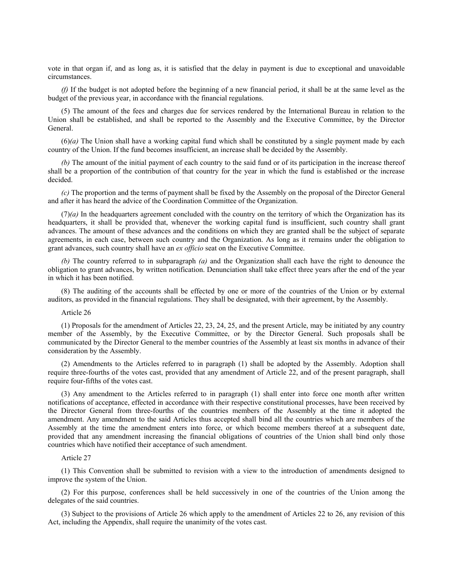vote in that organ if, and as long as, it is satisfied that the delay in payment is due to exceptional and unavoidable circumstances.

*(f)* If the budget is not adopted before the beginning of a new financial period, it shall be at the same level as the budget of the previous year, in accordance with the financial regulations.

(5) The amount of the fees and charges due for services rendered by the International Bureau in relation to the Union shall be established, and shall be reported to the Assembly and the Executive Committee, by the Director General.

(6)*(a)* The Union shall have a working capital fund which shall be constituted by a single payment made by each country of the Union. If the fund becomes insufficient, an increase shall be decided by the Assembly.

*(b)* The amount of the initial payment of each country to the said fund or of its participation in the increase thereof shall be a proportion of the contribution of that country for the year in which the fund is established or the increase decided.

*(c)* The proportion and the terms of payment shall be fixed by the Assembly on the proposal of the Director General and after it has heard the advice of the Coordination Committee of the Organization.

 $(7)(a)$  In the headquarters agreement concluded with the country on the territory of which the Organization has its headquarters, it shall be provided that, whenever the working capital fund is insufficient, such country shall grant advances. The amount of these advances and the conditions on which they are granted shall be the subject of separate agreements, in each case, between such country and the Organization. As long as it remains under the obligation to grant advances, such country shall have an *ex officio* seat on the Executive Committee.

*(b)* The country referred to in subparagraph *(a)* and the Organization shall each have the right to denounce the obligation to grant advances, by written notification. Denunciation shall take effect three years after the end of the year in which it has been notified.

(8) The auditing of the accounts shall be effected by one or more of the countries of the Union or by external auditors, as provided in the financial regulations. They shall be designated, with their agreement, by the Assembly.

Article 26

(1) Proposals for the amendment of Articles 22, 23, 24, 25, and the present Article, may be initiated by any country member of the Assembly, by the Executive Committee, or by the Director General. Such proposals shall be communicated by the Director General to the member countries of the Assembly at least six months in advance of their consideration by the Assembly.

(2) Amendments to the Articles referred to in paragraph (1) shall be adopted by the Assembly. Adoption shall require three-fourths of the votes cast, provided that any amendment of Article 22, and of the present paragraph, shall require four-fifths of the votes cast.

(3) Any amendment to the Articles referred to in paragraph (1) shall enter into force one month after written notifications of acceptance, effected in accordance with their respective constitutional processes, have been received by the Director General from three-fourths of the countries members of the Assembly at the time it adopted the amendment. Any amendment to the said Articles thus accepted shall bind all the countries which are members of the Assembly at the time the amendment enters into force, or which become members thereof at a subsequent date, provided that any amendment increasing the financial obligations of countries of the Union shall bind only those countries which have notified their acceptance of such amendment.

# Article 27

(1) This Convention shall be submitted to revision with a view to the introduction of amendments designed to improve the system of the Union.

(2) For this purpose, conferences shall be held successively in one of the countries of the Union among the delegates of the said countries.

(3) Subject to the provisions of Article 26 which apply to the amendment of Articles 22 to 26, any revision of this Act, including the Appendix, shall require the unanimity of the votes cast.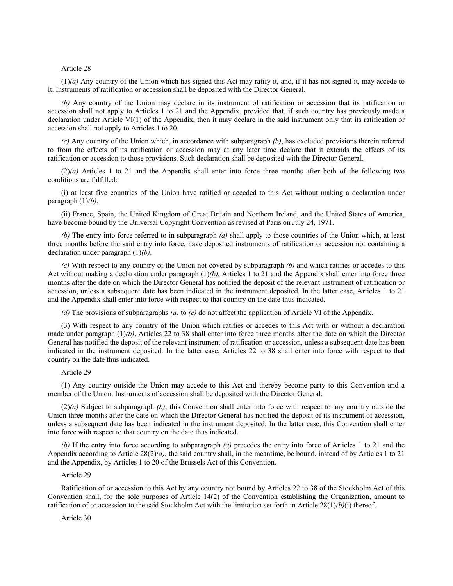#### Article 28

(1)*(a)* Any country of the Union which has signed this Act may ratify it, and, if it has not signed it, may accede to it. Instruments of ratification or accession shall be deposited with the Director General.

*(b)* Any country of the Union may declare in its instrument of ratification or accession that its ratification or accession shall not apply to Articles 1 to 21 and the Appendix, provided that, if such country has previously made a declaration under Article VI(1) of the Appendix, then it may declare in the said instrument only that its ratification or accession shall not apply to Articles 1 to 20.

*(c)* Any country of the Union which, in accordance with subparagraph *(b)*, has excluded provisions therein referred to from the effects of its ratification or accession may at any later time declare that it extends the effects of its ratification or accession to those provisions. Such declaration shall be deposited with the Director General.

(2)*(a)* Articles 1 to 21 and the Appendix shall enter into force three months after both of the following two conditions are fulfilled:

(i) at least five countries of the Union have ratified or acceded to this Act without making a declaration under paragraph (1)*(b)*,

(ii) France, Spain, the United Kingdom of Great Britain and Northern Ireland, and the United States of America, have become bound by the Universal Copyright Convention as revised at Paris on July 24, 1971.

*(b)* The entry into force referred to in subparagraph *(a)* shall apply to those countries of the Union which, at least three months before the said entry into force, have deposited instruments of ratification or accession not containing a declaration under paragraph (1)*(b)*.

*(c)* With respect to any country of the Union not covered by subparagraph *(b)* and which ratifies or accedes to this Act without making a declaration under paragraph (1)*(b)*, Articles 1 to 21 and the Appendix shall enter into force three months after the date on which the Director General has notified the deposit of the relevant instrument of ratification or accession, unless a subsequent date has been indicated in the instrument deposited. In the latter case, Articles 1 to 21 and the Appendix shall enter into force with respect to that country on the date thus indicated.

*(d)* The provisions of subparagraphs *(a)* to *(c)* do not affect the application of Article VI of the Appendix.

(3) With respect to any country of the Union which ratifies or accedes to this Act with or without a declaration made under paragraph (1)*(b)*, Articles 22 to 38 shall enter into force three months after the date on which the Director General has notified the deposit of the relevant instrument of ratification or accession, unless a subsequent date has been indicated in the instrument deposited. In the latter case, Articles 22 to 38 shall enter into force with respect to that country on the date thus indicated.

### Article 29

(1) Any country outside the Union may accede to this Act and thereby become party to this Convention and a member of the Union. Instruments of accession shall be deposited with the Director General.

(2)*(a)* Subject to subparagraph *(b)*, this Convention shall enter into force with respect to any country outside the Union three months after the date on which the Director General has notified the deposit of its instrument of accession, unless a subsequent date has been indicated in the instrument deposited. In the latter case, this Convention shall enter into force with respect to that country on the date thus indicated.

*(b)* If the entry into force according to subparagraph *(a)* precedes the entry into force of Articles 1 to 21 and the Appendix according to Article 28(2)*(a)*, the said country shall, in the meantime, be bound, instead of by Articles 1 to 21 and the Appendix, by Articles 1 to 20 of the Brussels Act of this Convention.

# Article 29

Ratification of or accession to this Act by any country not bound by Articles 22 to 38 of the Stockholm Act of this Convention shall, for the sole purposes of Article 14(2) of the Convention establishing the Organization, amount to ratification of or accession to the said Stockholm Act with the limitation set forth in Article 28(1)*(b)*(i) thereof.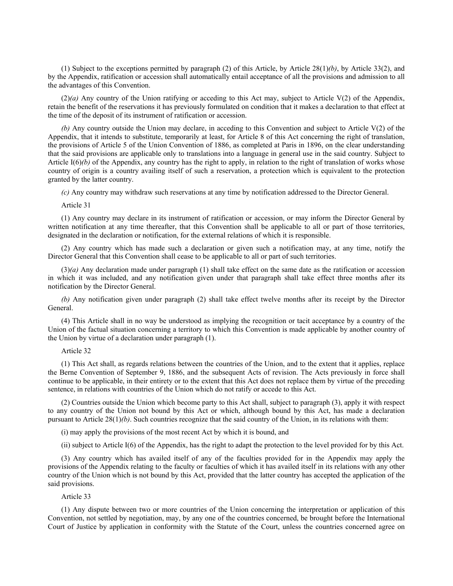(1) Subject to the exceptions permitted by paragraph (2) of this Article, by Article 28(1)*(b)*, by Article 33(2), and by the Appendix, ratification or accession shall automatically entail acceptance of all the provisions and admission to all the advantages of this Convention.

(2)*(a)* Any country of the Union ratifying or acceding to this Act may, subject to Article V(2) of the Appendix, retain the benefit of the reservations it has previously formulated on condition that it makes a declaration to that effect at the time of the deposit of its instrument of ratification or accession.

*(b)* Any country outside the Union may declare, in acceding to this Convention and subject to Article V(2) of the Appendix, that it intends to substitute, temporarily at least, for Article 8 of this Act concerning the right of translation, the provisions of Article 5 of the Union Convention of 1886, as completed at Paris in 1896, on the clear understanding that the said provisions are applicable only to translations into a language in general use in the said country. Subject to Article  $I(6)(b)$  of the Appendix, any country has the right to apply, in relation to the right of translation of works whose country of origin is a country availing itself of such a reservation, a protection which is equivalent to the protection granted by the latter country.

*(c)* Any country may withdraw such reservations at any time by notification addressed to the Director General.

Article 31

(1) Any country may declare in its instrument of ratification or accession, or may inform the Director General by written notification at any time thereafter, that this Convention shall be applicable to all or part of those territories, designated in the declaration or notification, for the external relations of which it is responsible.

(2) Any country which has made such a declaration or given such a notification may, at any time, notify the Director General that this Convention shall cease to be applicable to all or part of such territories.

(3)*(a)* Any declaration made under paragraph (1) shall take effect on the same date as the ratification or accession in which it was included, and any notification given under that paragraph shall take effect three months after its notification by the Director General.

*(b)* Any notification given under paragraph (2) shall take effect twelve months after its receipt by the Director General.

(4) This Article shall in no way be understood as implying the recognition or tacit acceptance by a country of the Union of the factual situation concerning a territory to which this Convention is made applicable by another country of the Union by virtue of a declaration under paragraph (1).

## Article 32

(1) This Act shall, as regards relations between the countries of the Union, and to the extent that it applies, replace the Berne Convention of September 9, 1886, and the subsequent Acts of revision. The Acts previously in force shall continue to be applicable, in their entirety or to the extent that this Act does not replace them by virtue of the preceding sentence, in relations with countries of the Union which do not ratify or accede to this Act.

(2) Countries outside the Union which become party to this Act shall, subject to paragraph (3), apply it with respect to any country of the Union not bound by this Act or which, although bound by this Act, has made a declaration pursuant to Article 28(1)*(b)*. Such countries recognize that the said country of the Union, in its relations with them:

(i) may apply the provisions of the most recent Act by which it is bound, and

(ii) subject to Article I(6) of the Appendix, has the right to adapt the protection to the level provided for by this Act.

(3) Any country which has availed itself of any of the faculties provided for in the Appendix may apply the provisions of the Appendix relating to the faculty or faculties of which it has availed itself in its relations with any other country of the Union which is not bound by this Act, provided that the latter country has accepted the application of the said provisions.

# Article 33

(1) Any dispute between two or more countries of the Union concerning the interpretation or application of this Convention, not settled by negotiation, may, by any one of the countries concerned, be brought before the International Court of Justice by application in conformity with the Statute of the Court, unless the countries concerned agree on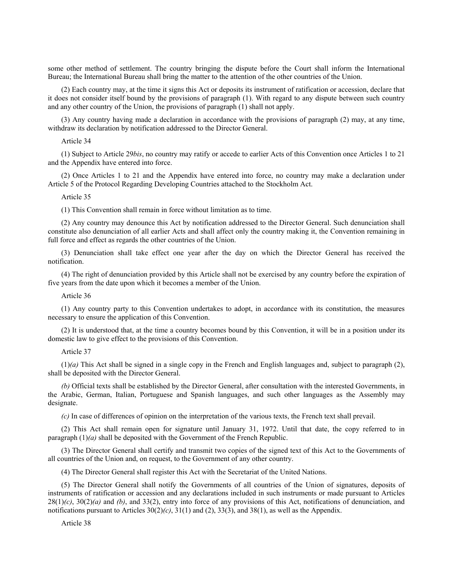some other method of settlement. The country bringing the dispute before the Court shall inform the International Bureau; the International Bureau shall bring the matter to the attention of the other countries of the Union.

(2) Each country may, at the time it signs this Act or deposits its instrument of ratification or accession, declare that it does not consider itself bound by the provisions of paragraph (1). With regard to any dispute between such country and any other country of the Union, the provisions of paragraph (1) shall not apply.

(3) Any country having made a declaration in accordance with the provisions of paragraph (2) may, at any time, withdraw its declaration by notification addressed to the Director General.

#### Article 34

(1) Subject to Article 29*bis*, no country may ratify or accede to earlier Acts of this Convention once Articles 1 to 21 and the Appendix have entered into force.

(2) Once Articles 1 to 21 and the Appendix have entered into force, no country may make a declaration under Article 5 of the Protocol Regarding Developing Countries attached to the Stockholm Act.

#### Article 35

(1) This Convention shall remain in force without limitation as to time.

(2) Any country may denounce this Act by notification addressed to the Director General. Such denunciation shall constitute also denunciation of all earlier Acts and shall affect only the country making it, the Convention remaining in full force and effect as regards the other countries of the Union.

(3) Denunciation shall take effect one year after the day on which the Director General has received the notification.

(4) The right of denunciation provided by this Article shall not be exercised by any country before the expiration of five years from the date upon which it becomes a member of the Union.

## Article 36

(1) Any country party to this Convention undertakes to adopt, in accordance with its constitution, the measures necessary to ensure the application of this Convention.

(2) It is understood that, at the time a country becomes bound by this Convention, it will be in a position under its domestic law to give effect to the provisions of this Convention.

#### Article 37

 $(1)(a)$  This Act shall be signed in a single copy in the French and English languages and, subject to paragraph  $(2)$ , shall be deposited with the Director General.

*(b)* Official texts shall be established by the Director General, after consultation with the interested Governments, in the Arabic, German, Italian, Portuguese and Spanish languages, and such other languages as the Assembly may designate.

*(c)* In case of differences of opinion on the interpretation of the various texts, the French text shall prevail.

(2) This Act shall remain open for signature until January 31, 1972. Until that date, the copy referred to in paragraph (1)*(a)* shall be deposited with the Government of the French Republic.

(3) The Director General shall certify and transmit two copies of the signed text of this Act to the Governments of all countries of the Union and, on request, to the Government of any other country.

(4) The Director General shall register this Act with the Secretariat of the United Nations.

(5) The Director General shall notify the Governments of all countries of the Union of signatures, deposits of instruments of ratification or accession and any declarations included in such instruments or made pursuant to Articles 28(1)*(c)*, 30(2)*(a)* and *(b)*, and 33(2), entry into force of any provisions of this Act, notifications of denunciation, and notifications pursuant to Articles 30(2)*(c)*, 31(1) and (2), 33(3), and 38(1), as well as the Appendix.